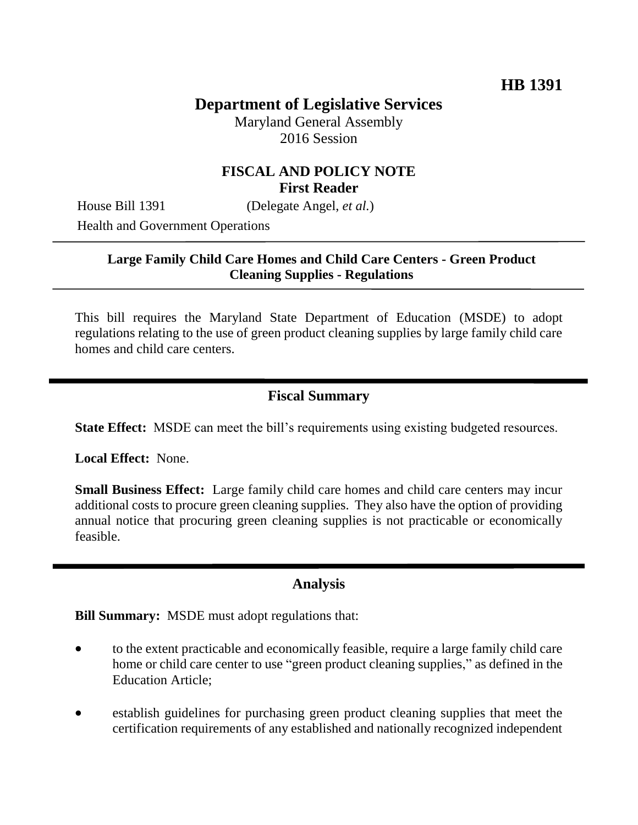# **Department of Legislative Services**

Maryland General Assembly 2016 Session

## **FISCAL AND POLICY NOTE First Reader**

House Bill 1391 (Delegate Angel, *et al.*)

Health and Government Operations

#### **Large Family Child Care Homes and Child Care Centers - Green Product Cleaning Supplies - Regulations**

This bill requires the Maryland State Department of Education (MSDE) to adopt regulations relating to the use of green product cleaning supplies by large family child care homes and child care centers.

## **Fiscal Summary**

**State Effect:** MSDE can meet the bill's requirements using existing budgeted resources.

**Local Effect:** None.

**Small Business Effect:** Large family child care homes and child care centers may incur additional costs to procure green cleaning supplies. They also have the option of providing annual notice that procuring green cleaning supplies is not practicable or economically feasible.

#### **Analysis**

**Bill Summary:** MSDE must adopt regulations that:

- to the extent practicable and economically feasible, require a large family child care home or child care center to use "green product cleaning supplies," as defined in the Education Article;
- establish guidelines for purchasing green product cleaning supplies that meet the certification requirements of any established and nationally recognized independent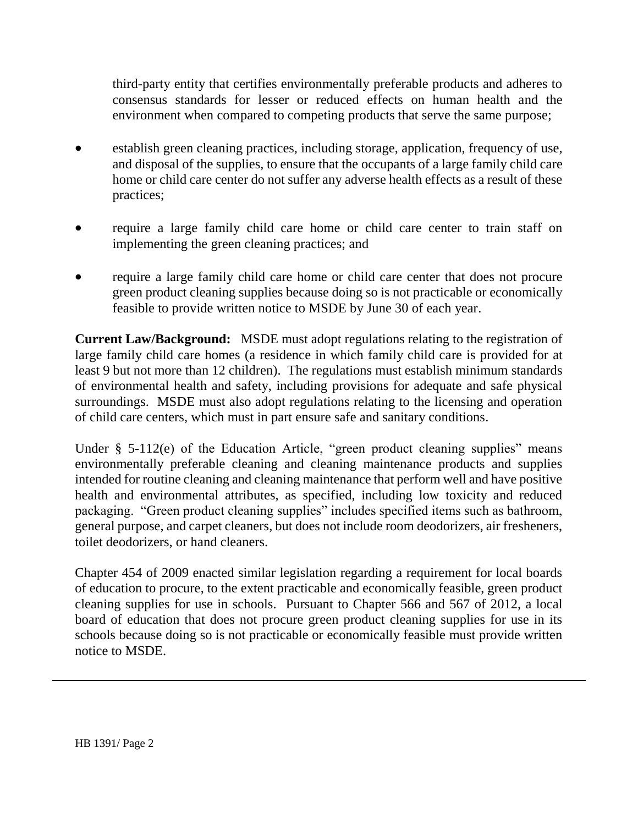third-party entity that certifies environmentally preferable products and adheres to consensus standards for lesser or reduced effects on human health and the environment when compared to competing products that serve the same purpose;

- establish green cleaning practices, including storage, application, frequency of use, and disposal of the supplies, to ensure that the occupants of a large family child care home or child care center do not suffer any adverse health effects as a result of these practices;
- require a large family child care home or child care center to train staff on implementing the green cleaning practices; and
- require a large family child care home or child care center that does not procure green product cleaning supplies because doing so is not practicable or economically feasible to provide written notice to MSDE by June 30 of each year.

**Current Law/Background:** MSDE must adopt regulations relating to the registration of large family child care homes (a residence in which family child care is provided for at least 9 but not more than 12 children). The regulations must establish minimum standards of environmental health and safety, including provisions for adequate and safe physical surroundings. MSDE must also adopt regulations relating to the licensing and operation of child care centers, which must in part ensure safe and sanitary conditions.

Under § 5-112(e) of the Education Article, "green product cleaning supplies" means environmentally preferable cleaning and cleaning maintenance products and supplies intended for routine cleaning and cleaning maintenance that perform well and have positive health and environmental attributes, as specified, including low toxicity and reduced packaging. "Green product cleaning supplies" includes specified items such as bathroom, general purpose, and carpet cleaners, but does not include room deodorizers, air fresheners, toilet deodorizers, or hand cleaners.

Chapter 454 of 2009 enacted similar legislation regarding a requirement for local boards of education to procure, to the extent practicable and economically feasible, green product cleaning supplies for use in schools. Pursuant to Chapter 566 and 567 of 2012, a local board of education that does not procure green product cleaning supplies for use in its schools because doing so is not practicable or economically feasible must provide written notice to MSDE.